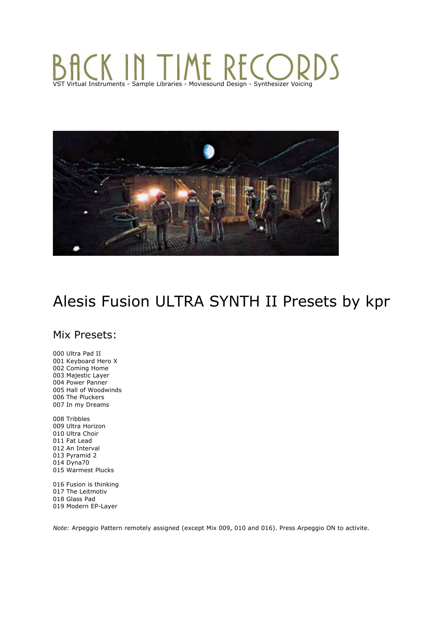# KINT VST Virtual Instruments - Sample Libraries - Moviesound Design - Synthesizer Voicing



# Alesis Fusion ULTRA SYNTH II Presets by kpr

# Mix Presets:

000 Ultra Pad II 001 Keyboard Hero X 002 Coming Home 003 Majestic Layer 004 Power Panner 005 Hall of Woodwinds 006 The Pluckers 007 In my Dreams

008 Tribbles 009 Ultra Horizon 010 Ultra Choir 011 Fat Lead 012 An Interval 013 Pyramid 2 014 Dyna70 015 Warmest Plucks

016 Fusion is thinking 017 The Leitmotiv 018 Glass Pad 019 Modern EP-Layer

*Note*: Arpeggio Pattern remotely assigned (except Mix 009, 010 and 016). Press Arpeggio ON to activite.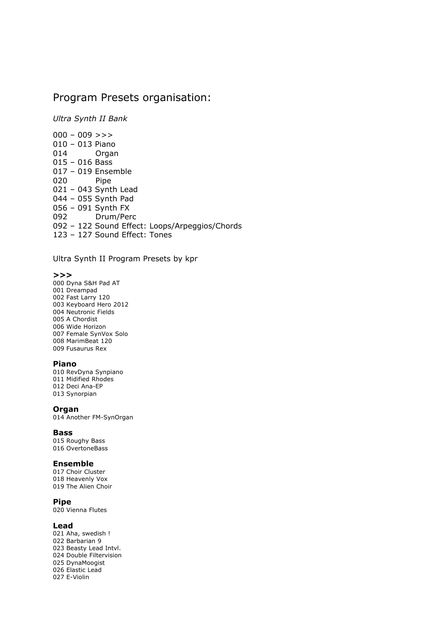# Program Presets organisation:

*Ultra Synth II Bank*

 $000 - 009 \gg$ 010 – 013 Piano 014 Organ  $015 - 016$  Bass 017 – 019 Ensemble 020 Pipe 021 – 043 Synth Lead 044 – 055 Synth Pad 056 – 091 Synth FX 092 Drum/Perc 092 – 122 Sound Effect: Loops/Arpeggios/Chords 123 – 127 Sound Effect: Tones

Ultra Synth II Program Presets by kpr

#### **>>>**

000 Dyna S&H Pad AT 001 Dreampad 002 Fast Larry 120 003 Keyboard Hero 2012 004 Neutronic Fields 005 A Chordist 006 Wide Horizon 007 Female SynVox Solo 008 MarimBeat 120 009 Fusaurus Rex

### **Piano**

010 RevDyna Synpiano 011 Midified Rhodes 012 Deci Ana-EP 013 Synorpian

#### **Organ**

014 Another FM-SynOrgan

#### **Bass**

015 Roughy Bass 016 OvertoneBass

#### **Ensemble**

017 Choir Cluster 018 Heavenly Vox 019 The Alien Choir

### **Pipe**

020 Vienna Flutes

#### **Lead**

021 Aha, swedish ! 022 Barbarian 9 023 Beasty Lead Intvl. 024 Double Filtervision 025 DynaMoogist 026 Elastic Lead 027 E-Violin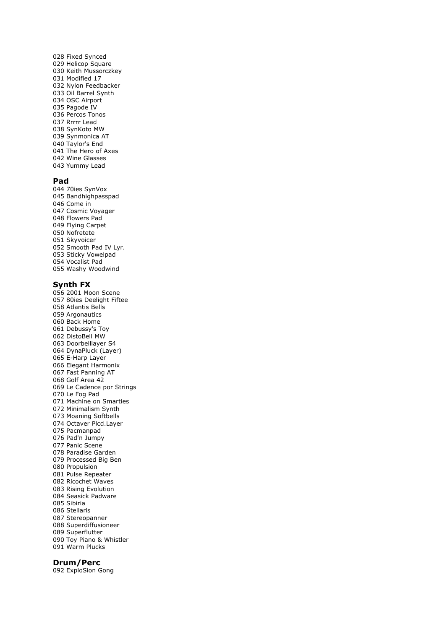028 Fixed Synced 029 Helicop Square 030 Keith Mussorczkey 031 Modified 17 032 Nylon Feedbacker 033 Oil Barrel Synth 034 OSC Airport 035 Pagode IV 036 Percos Tonos 037 Rrrrr Lead 038 SynKoto MW 039 Synmonica AT 040 Taylor's End 041 The Hero of Axes 042 Wine Glasses 043 Yummy Lead

### **Pad**

044 70ies SynVox 045 Bandhighpasspad 046 Come in 047 Cosmic Voyager 048 Flowers Pad 049 Flying Carpet 050 Nofretete 051 Skyvoicer 052 Smooth Pad IV Lyr. 053 Sticky Vowelpad 054 Vocalist Pad 055 Washy Woodwind

#### **Synth FX**

056 2001 Moon Scene 057 80ies Deelight Fiftee 058 Atlantis Bells 059 Argonautics 060 Back Home 061 Debussy's Toy 062 DistoBell MW 063 Doorbelllayer S4 064 DynaPluck (Layer) 065 E-Harp Layer 066 Elegant Harmonix 067 Fast Panning AT 068 Golf Area 42 069 Le Cadence por Strings 070 Le Fog Pad 071 Machine on Smarties 072 Minimalism Synth 073 Moaning Softbells 074 Octaver Plcd.Layer 075 Pacmanpad 076 Pad'n Jumpy 077 Panic Scene 078 Paradise Garden 079 Processed Big Ben 080 Propulsion 081 Pulse Repeater 082 Ricochet Waves 083 Rising Evolution 084 Seasick Padware 085 Sibiria 086 Stellaris 087 Stereopanner 088 Superdiffusioneer 089 Superflutter 090 Toy Piano & Whistler 091 Warm Plucks

### **Drum/Perc**

092 ExploSion Gong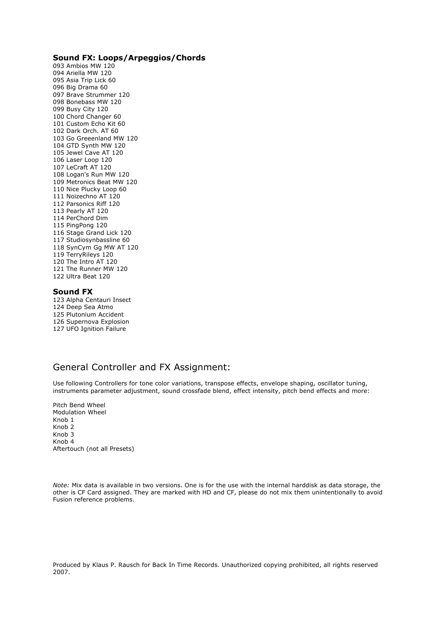## **Sound FX: Loops/Arpeggios/Chords**

093 Ambios MW 120 094 Ariella MW 120 095 Asia Trip Lick 60 096 Big Drama 60 097 Brave Strummer 120 098 Bonebass MW 120 099 Busy City 120 100 Chord Changer 60 101 Custom Echo Kit 60 102 Dark Orch. AT 60 103 Go Greeenland MW 120 104 GTD Synth MW 120 105 Jewel Cave AT 120 106 Laser Loop 120 107 LeCraft AT 120 108 Logan's Run MW 120 109 Metronics Beat MW 120 110 Nice Plucky Loop 60 111 Noizechno AT 120 112 Parsonics Riff 120 113 Pearly AT 120 114 PerChord Dim 115 PingPong 120 116 Stage Grand Lick 120 117 Studiosynbassline 60 118 SynCym Gg MW AT 120 119 TerryRileys 120 120 The Intro AT 120 121 The Runner MW 120 122 Ultra Beat 120

## **Sound FX**

123 Alpha Centauri Insect 124 Deep Sea Atmo 125 Plutonium Accident 126 Supernova Explosion 127 UFO Ignition Failure

## General Controller and FX Assignment:

Use following Controllers for tone color variations, transpose effects, envelope shaping, oscillator tuning, instruments parameter adjustment, sound crossfade blend, effect intensity, pitch bend effects and more:

Pitch Bend Wheel Modulation Wheel Knob 1 Knob 2 Knob 3 Knob 4 Aftertouch (not all Presets)

*Note:* Mix data is available in two versions. One is for the use with the internal harddisk as data storage, the other is CF Card assigned. They are marked with HD and CF, please do not mix them unintentionally to avoid Fusion reference problems.

Produced by Klaus P. Rausch for Back In Time Records. Unauthorized copying prohibited, all rights reserved 2007.